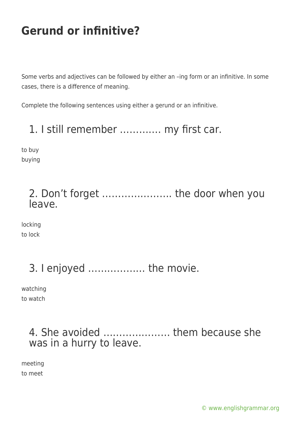# **Gerund or infinitive?**

Some verbs and adjectives can be followed by either an –ing form or an infinitive. In some cases, there is a difference of meaning.

Complete the following sentences using either a gerund or an infinitive.

#### 1. I still remember …………. my first car.

to buy buying

#### 2. Don't forget …………………. the door when you leave.

locking to lock

## 3. I enjoyed ……………… the movie.

watching to watch

#### 4. She avoided ………………… them because she was in a hurry to leave.

meeting to meet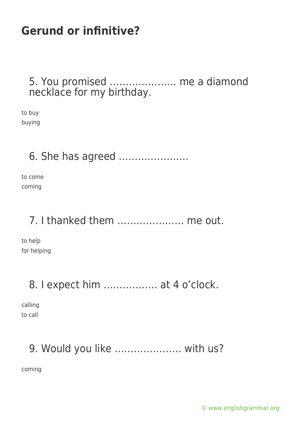# **Gerund or infinitive?**

#### 5. You promised ………………… me a diamond necklace for my birthday.

to buy buying

#### 6. She has agreed ………………….

to come coming

#### 7. I thanked them ………………… me out.

to help for helping

## 8. I expect him …………….. at 4 o'clock.

calling to call

# 9. Would you like ………………… with us?

coming